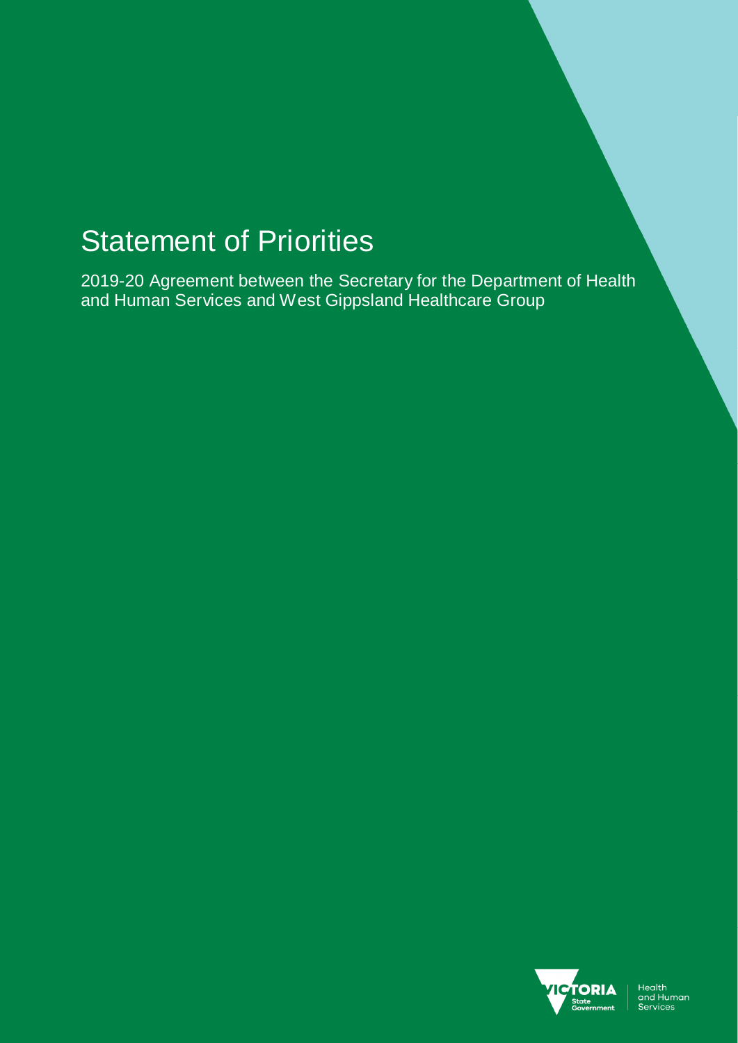# Statement of Priorities

2019-20 Agreement between the Secretary for the Department of Health and Human Services and West Gippsland Healthcare Group

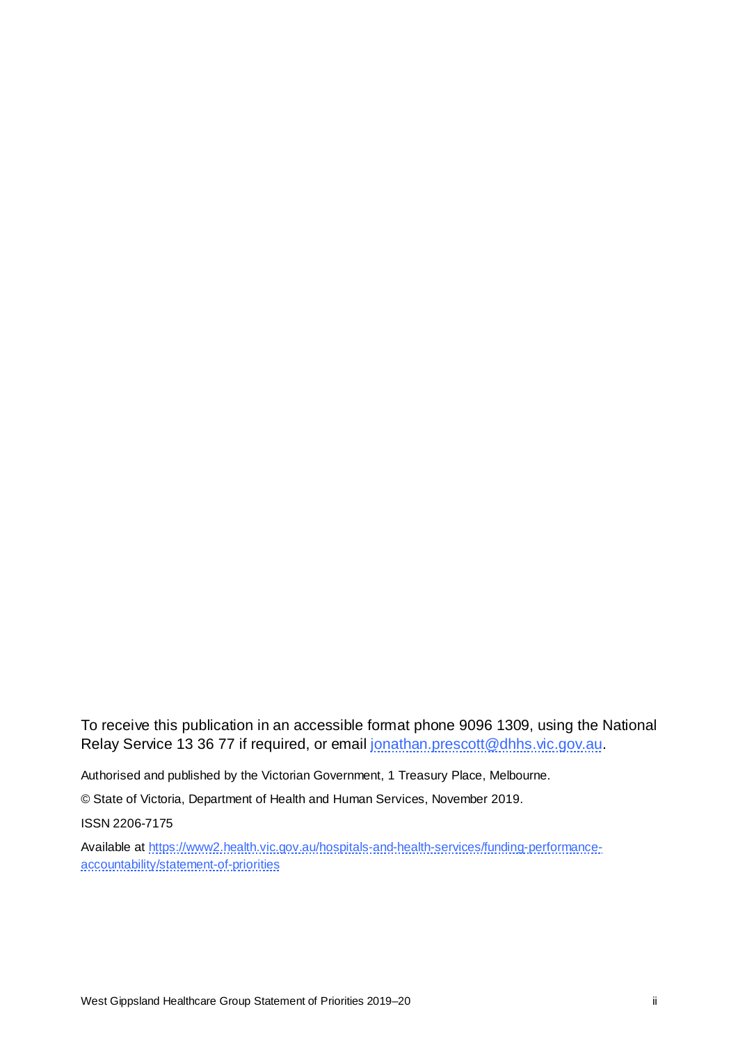To receive this publication in an accessible format phone 9096 1309, using the National Relay Service 13 36 77 if required, or email jonathan.prescott@dhhs.vic.gov.au.

Authorised and published by the Victorian Government, 1 Treasury Place, Melbourne.

© State of Victoria, Department of Health and Human Services, November 2019.

ISSN 2206-7175

Available at https://www2.health.vic.gov.au/hospitals-and-health-services/funding-performanceaccountability/statement-of-priorities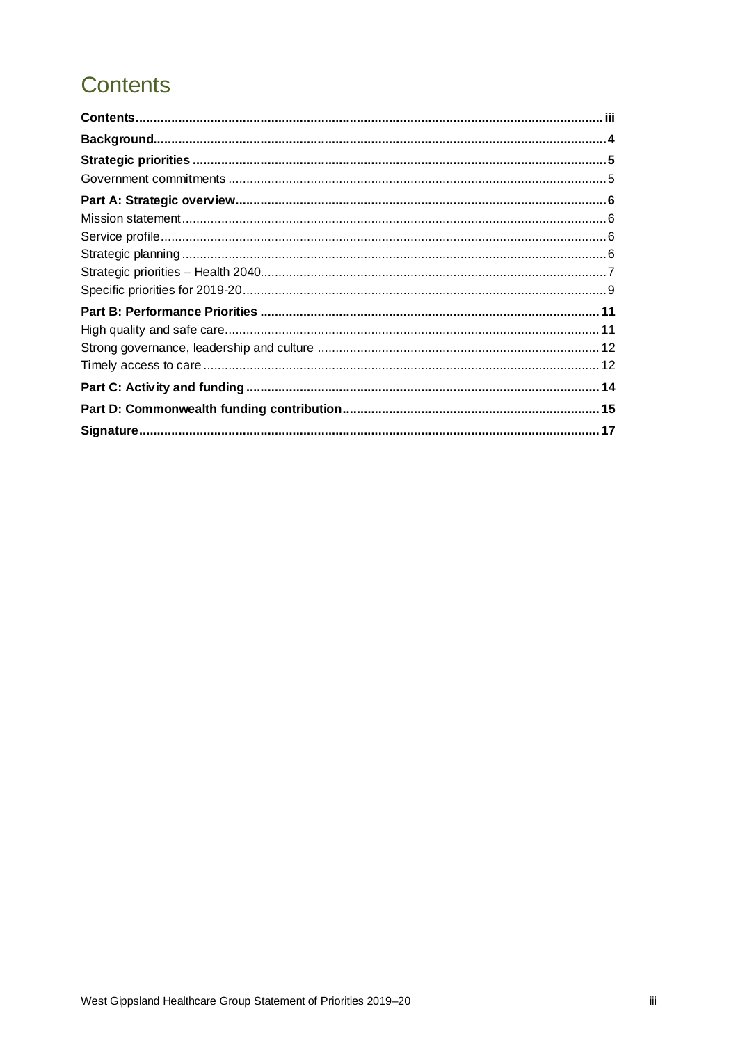## **Contents**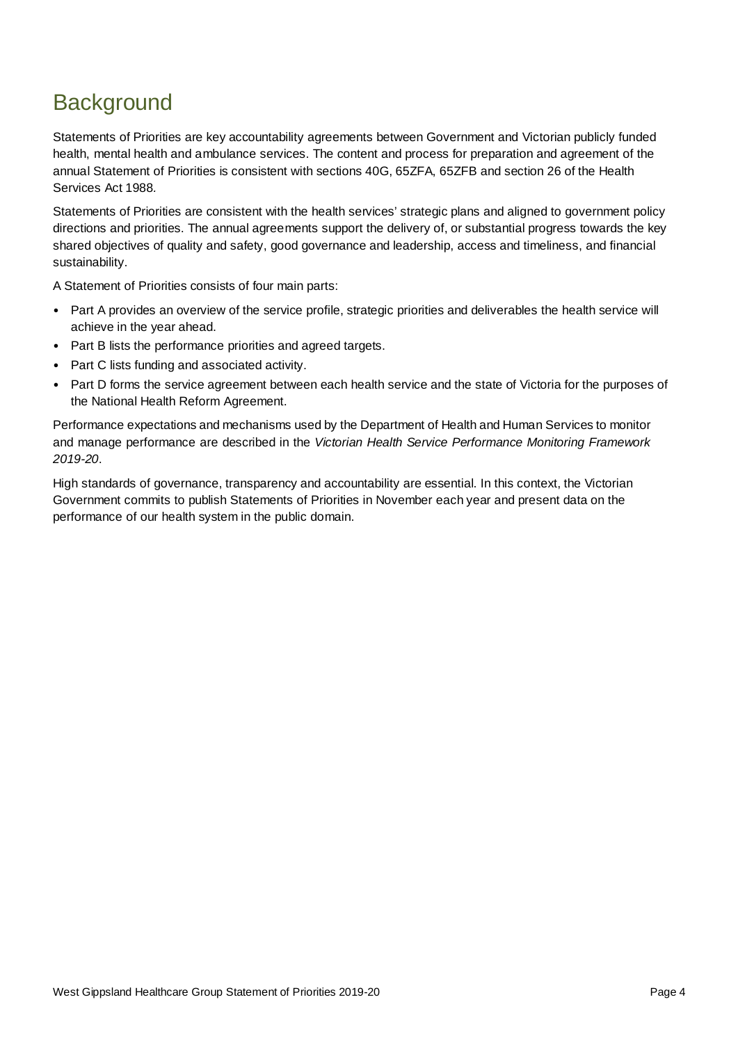## **Background**

Statements of Priorities are key accountability agreements between Government and Victorian publicly funded health, mental health and ambulance services. The content and process for preparation and agreement of the annual Statement of Priorities is consistent with sections 40G, 65ZFA, 65ZFB and section 26 of the Health Services Act 1988*.* 

Statements of Priorities are consistent with the health services' strategic plans and aligned to government policy directions and priorities. The annual agreements support the delivery of, or substantial progress towards the key shared objectives of quality and safety, good governance and leadership, access and timeliness, and financial sustainability.

A Statement of Priorities consists of four main parts:

- Part A provides an overview of the service profile, strategic priorities and deliverables the health service will achieve in the year ahead.
- Part B lists the performance priorities and agreed targets.
- Part C lists funding and associated activity.
- Part D forms the service agreement between each health service and the state of Victoria for the purposes of the National Health Reform Agreement.

Performance expectations and mechanisms used by the Department of Health and Human Services to monitor and manage performance are described in the *Victorian Health Service Performance Monitoring Framework 2019-20*.

High standards of governance, transparency and accountability are essential. In this context, the Victorian Government commits to publish Statements of Priorities in November each year and present data on the performance of our health system in the public domain.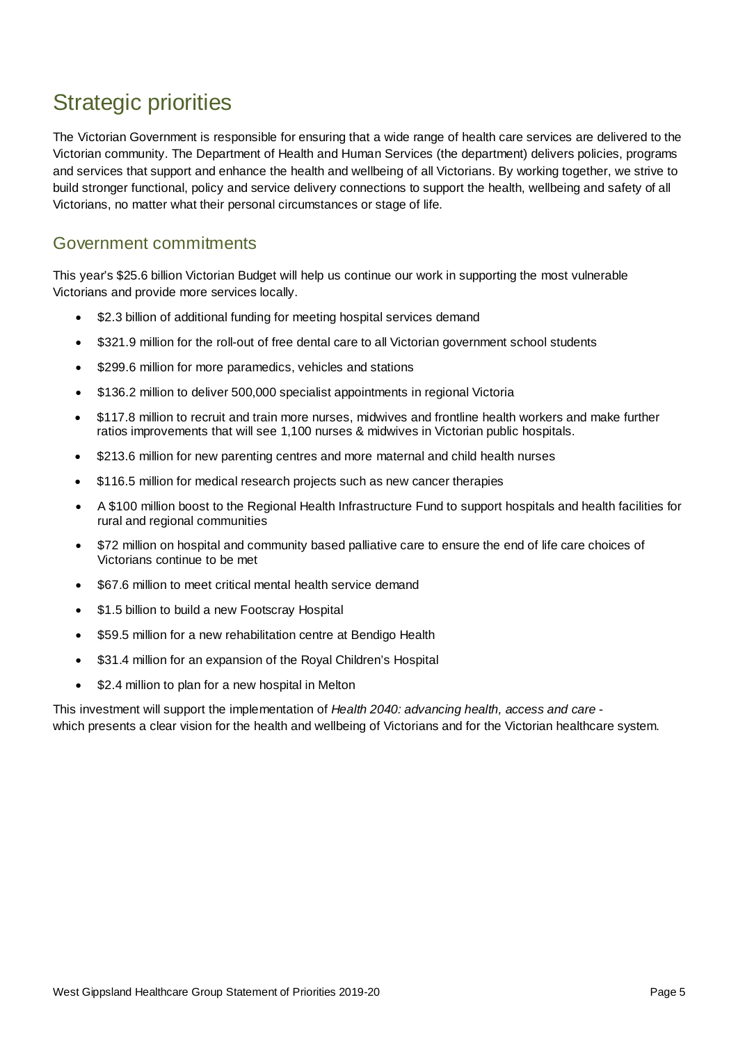## Strategic priorities

The Victorian Government is responsible for ensuring that a wide range of health care services are delivered to the Victorian community. The Department of Health and Human Services (the department) delivers policies, programs and services that support and enhance the health and wellbeing of all Victorians. By working together, we strive to build stronger functional, policy and service delivery connections to support the health, wellbeing and safety of all Victorians, no matter what their personal circumstances or stage of life.

### Government commitments

This year's \$25.6 billion Victorian Budget will help us continue our work in supporting the most vulnerable Victorians and provide more services locally.

- \$2.3 billion of additional funding for meeting hospital services demand
- \$321.9 million for the roll-out of free dental care to all Victorian government school students
- \$299.6 million for more paramedics, vehicles and stations
- \$136.2 million to deliver 500,000 specialist appointments in regional Victoria
- \$117.8 million to recruit and train more nurses, midwives and frontline health workers and make further ratios improvements that will see 1,100 nurses & midwives in Victorian public hospitals.
- \$213.6 million for new parenting centres and more maternal and child health nurses
- \$116.5 million for medical research projects such as new cancer therapies
- A \$100 million boost to the Regional Health Infrastructure Fund to support hospitals and health facilities for rural and regional communities
- \$72 million on hospital and community based palliative care to ensure the end of life care choices of Victorians continue to be met
- \$67.6 million to meet critical mental health service demand
- \$1.5 billion to build a new Footscray Hospital
- \$59.5 million for a new rehabilitation centre at Bendigo Health
- \$31.4 million for an expansion of the Royal Children's Hospital
- \$2.4 million to plan for a new hospital in Melton

This investment will support the implementation of *Health 2040: advancing health, access and care* which presents a clear vision for the health and wellbeing of Victorians and for the Victorian healthcare system.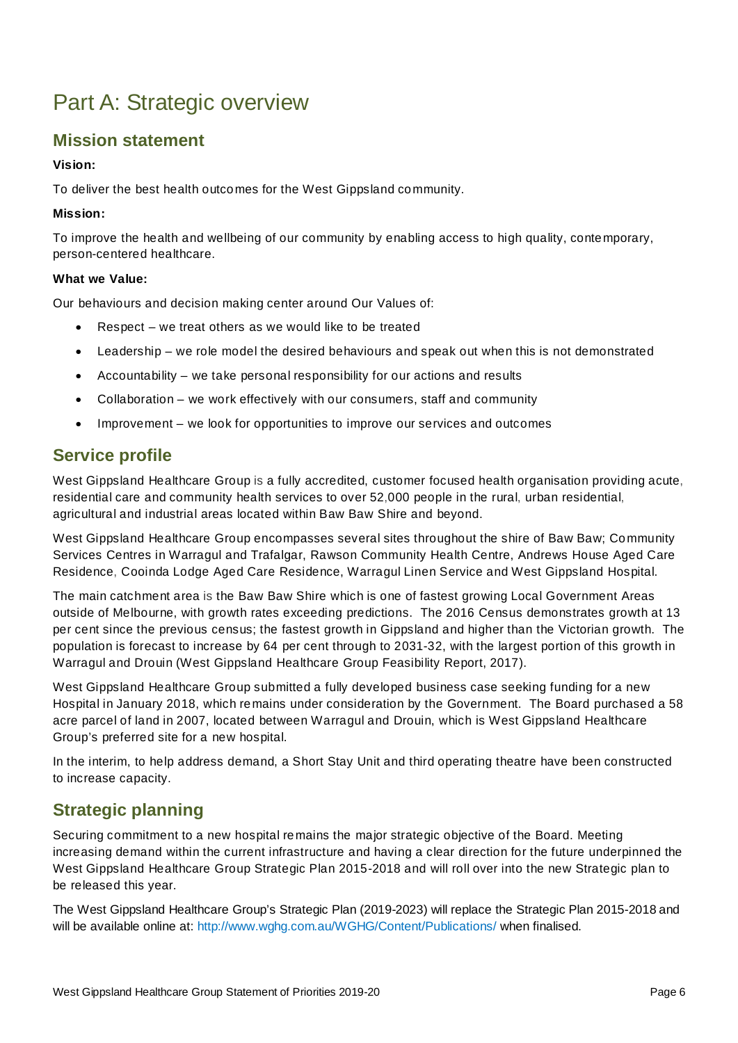## Part A: Strategic overview

### **Mission statement**

#### **Vision:**

To deliver the best health outcomes for the West Gippsland community.

#### **Mission:**

To improve the health and wellbeing of our community by enabling access to high quality, contemporary, person-centered healthcare.

#### **What we Value:**

Our behaviours and decision making center around Our Values of:

- $Respect we treat others as we would like to be treated$
- Leadership we role model the desired behaviours and speak out when this is not demonstrated
- Accountability we take personal responsibility for our actions and results
- Collaboration we work effectively with our consumers, staff and community
- Improvement we look for opportunities to improve our services and outcomes

### **Service profile**

West Gippsland Healthcare Group is a fully accredited, customer focused health organisation providing acute, residential care and community health services to over 52,000 people in the rural, urban residential, agricultural and industrial areas located within Baw Baw Shire and beyond.

West Gippsland Healthcare Group encompasses several sites throughout the shire of Baw Baw; Community Services Centres in Warragul and Trafalgar, Rawson Community Health Centre, Andrews House Aged Care Residence, Cooinda Lodge Aged Care Residence, Warragul Linen Service and West Gippsland Hospital.

The main catchment area is the Baw Baw Shire which is one of fastest growing Local Government Areas outside of Melbourne, with growth rates exceeding predictions. The 2016 Census demonstrates growth at 13 per cent since the previous census; the fastest growth in Gippsland and higher than the Victorian growth. The population is forecast to increase by 64 per cent through to 2031-32, with the largest portion of this growth in Warragul and Drouin (West Gippsland Healthcare Group Feasibility Report, 2017).

West Gippsland Healthcare Group submitted a fully developed business case seeking funding for a new Hospital in January 2018, which remains under consideration by the Government. The Board purchased a 58 acre parcel of land in 2007, located between Warragul and Drouin, which is West Gippsland Healthcare Group's preferred site for a new hospital.

In the interim, to help address demand, a Short Stay Unit and third operating theatre have been constructed to increase capacity.

### **Strategic planning**

Securing commitment to a new hospital remains the major strategic objective of the Board. Meeting increasing demand within the current infrastructure and having a clear direction for the future underpinned the West Gippsland Healthcare Group Strategic Plan 2015-2018 and will roll over into the new Strategic plan to be released this year.

The West Gippsland Healthcare Group's Strategic Plan (2019-2023) will replace the Strategic Plan 2015-2018 and will be available online at: http://www.wghg.com.au/WGHG/Content/Publications/ when finalised.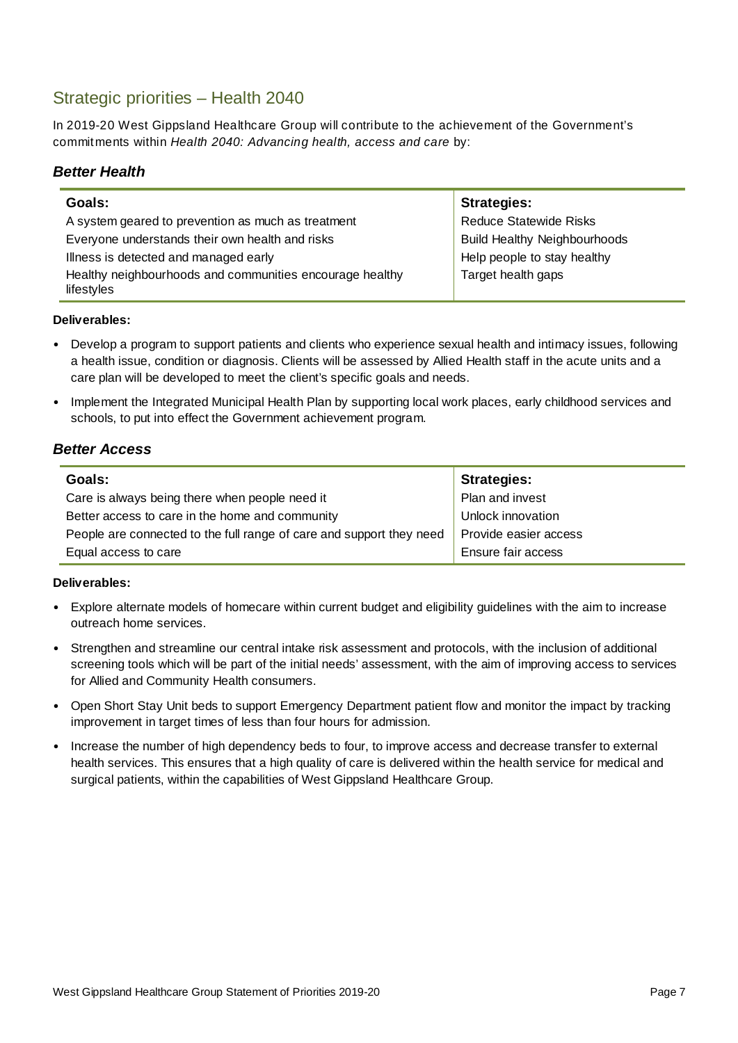### Strategic priorities – Health 2040

In 2019-20 West Gippsland Healthcare Group will contribute to the achievement of the Government's commitments within *Health 2040: Advancing health, access and care* by:

#### *Better Health*

| Goals:                                                                 | <b>Strategies:</b>                  |
|------------------------------------------------------------------------|-------------------------------------|
| A system geared to prevention as much as treatment                     | <b>Reduce Statewide Risks</b>       |
| Everyone understands their own health and risks                        | <b>Build Healthy Neighbourhoods</b> |
| Illness is detected and managed early                                  | Help people to stay healthy         |
| Healthy neighbourhoods and communities encourage healthy<br>lifestyles | Target health gaps                  |

#### **Deliverables:**

- Develop a program to support patients and clients who experience sexual health and intimacy issues, following a health issue, condition or diagnosis. Clients will be assessed by Allied Health staff in the acute units and a care plan will be developed to meet the client's specific goals and needs.
- Implement the Integrated Municipal Health Plan by supporting local work places, early childhood services and schools, to put into effect the Government achievement program.

#### *Better Access*

| Goals:                                                               | <b>Strategies:</b>    |
|----------------------------------------------------------------------|-----------------------|
| Care is always being there when people need it                       | Plan and invest       |
| Better access to care in the home and community                      | Unlock innovation     |
| People are connected to the full range of care and support they need | Provide easier access |
| Equal access to care                                                 | Ensure fair access    |

- Explore alternate models of homecare within current budget and eligibility guidelines with the aim to increase outreach home services.
- Strengthen and streamline our central intake risk assessment and protocols, with the inclusion of additional screening tools which will be part of the initial needs' assessment, with the aim of improving access to services for Allied and Community Health consumers.
- Open Short Stay Unit beds to support Emergency Department patient flow and monitor the impact by tracking improvement in target times of less than four hours for admission.
- Increase the number of high dependency beds to four, to improve access and decrease transfer to external health services. This ensures that a high quality of care is delivered within the health service for medical and surgical patients, within the capabilities of West Gippsland Healthcare Group.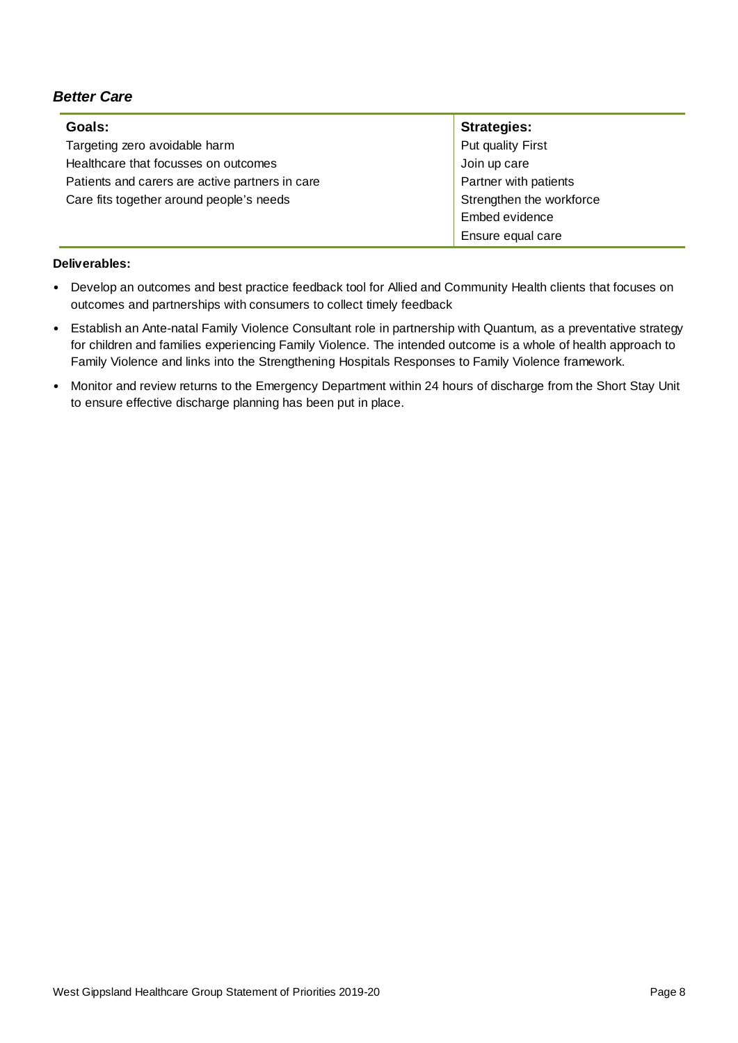#### *Better Care*

| Goals:                                          | <b>Strategies:</b>       |
|-------------------------------------------------|--------------------------|
| Targeting zero avoidable harm                   | Put quality First        |
| Healthcare that focusses on outcomes            | Join up care             |
| Patients and carers are active partners in care | Partner with patients    |
| Care fits together around people's needs        | Strengthen the workforce |
|                                                 | Embed evidence           |
|                                                 | Ensure equal care        |

- Develop an outcomes and best practice feedback tool for Allied and Community Health clients that focuses on outcomes and partnerships with consumers to collect timely feedback
- Establish an Ante-natal Family Violence Consultant role in partnership with Quantum, as a preventative strategy for children and families experiencing Family Violence. The intended outcome is a whole of health approach to Family Violence and links into the Strengthening Hospitals Responses to Family Violence framework.
- Monitor and review returns to the Emergency Department within 24 hours of discharge from the Short Stay Unit to ensure effective discharge planning has been put in place.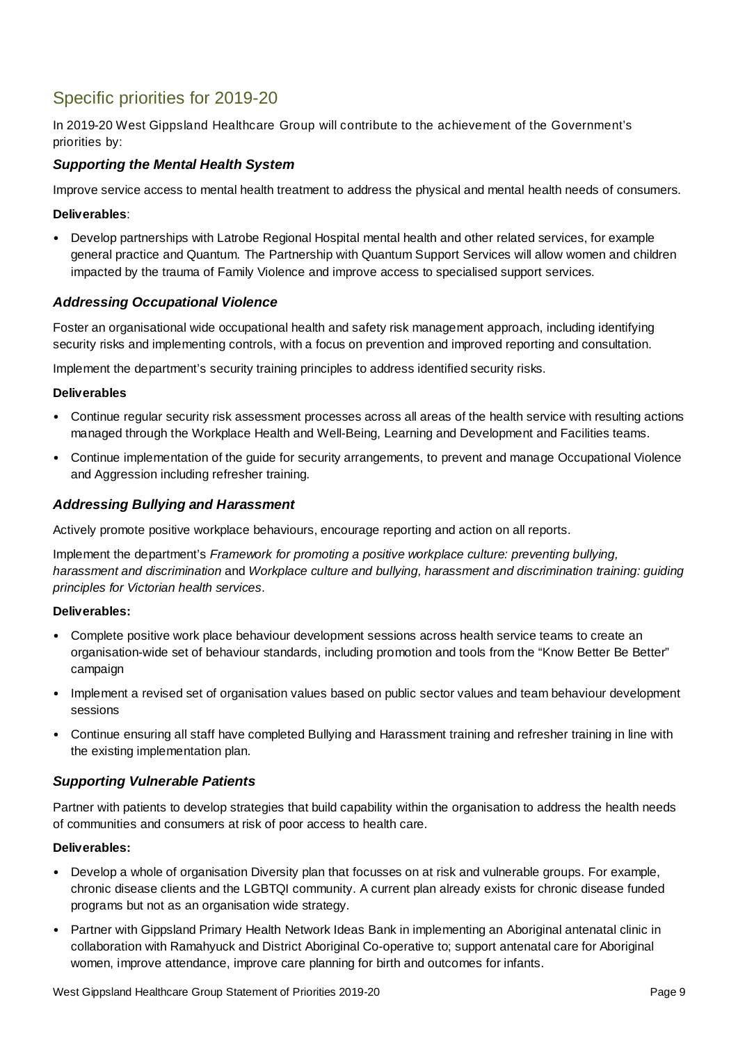## Specific priorities for 2019-20

In 2019-20 West Gippsland Healthcare Group will contribute to the achievement of the Government's priorities by:

#### *Supporting the Mental Health System*

Improve service access to mental health treatment to address the physical and mental health needs of consumers*.* 

#### **Deliverables**:

• Develop partnerships with Latrobe Regional Hospital mental health and other related services, for example general practice and Quantum. The Partnership with Quantum Support Services will allow women and children impacted by the trauma of Family Violence and improve access to specialised support services.

#### *Addressing Occupational Violence*

Foster an organisational wide occupational health and safety risk management approach, including identifying security risks and implementing controls, with a focus on prevention and improved reporting and consultation.

Implement the department's security training principles to address identified security risks.

#### **Deliverables**

- Continue regular security risk assessment processes across all areas of the health service with resulting actions managed through the Workplace Health and Well-Being, Learning and Development and Facilities teams.
- Continue implementation of the guide for security arrangements, to prevent and manage Occupational Violence and Aggression including refresher training.

#### *Addressing Bullying and Harassment*

Actively promote positive workplace behaviours, encourage reporting and action on all reports.

Implement the department's *Framework for promoting a positive workplace culture: preventing bullying, harassment and discrimination* and *Workplace culture and bullying, harassment and discrimination training: guiding principles for Victorian health services*.

#### **Deliverables:**

- Complete positive work place behaviour development sessions across health service teams to create an organisation-wide set of behaviour standards, including promotion and tools from the "Know Better Be Better" campaign
- Implement a revised set of organisation values based on public sector values and team behaviour development sessions
- Continue ensuring all staff have completed Bullying and Harassment training and refresher training in line with the existing implementation plan.

#### *Supporting Vulnerable Patients*

Partner with patients to develop strategies that build capability within the organisation to address the health needs of communities and consumers at risk of poor access to health care.

- Develop a whole of organisation Diversity plan that focusses on at risk and vulnerable groups. For example, chronic disease clients and the LGBTQI community. A current plan already exists for chronic disease funded programs but not as an organisation wide strategy.
- Partner with Gippsland Primary Health Network Ideas Bank in implementing an Aboriginal antenatal clinic in collaboration with Ramahyuck and District Aboriginal Co-operative to; support antenatal care for Aboriginal women, improve attendance, improve care planning for birth and outcomes for infants.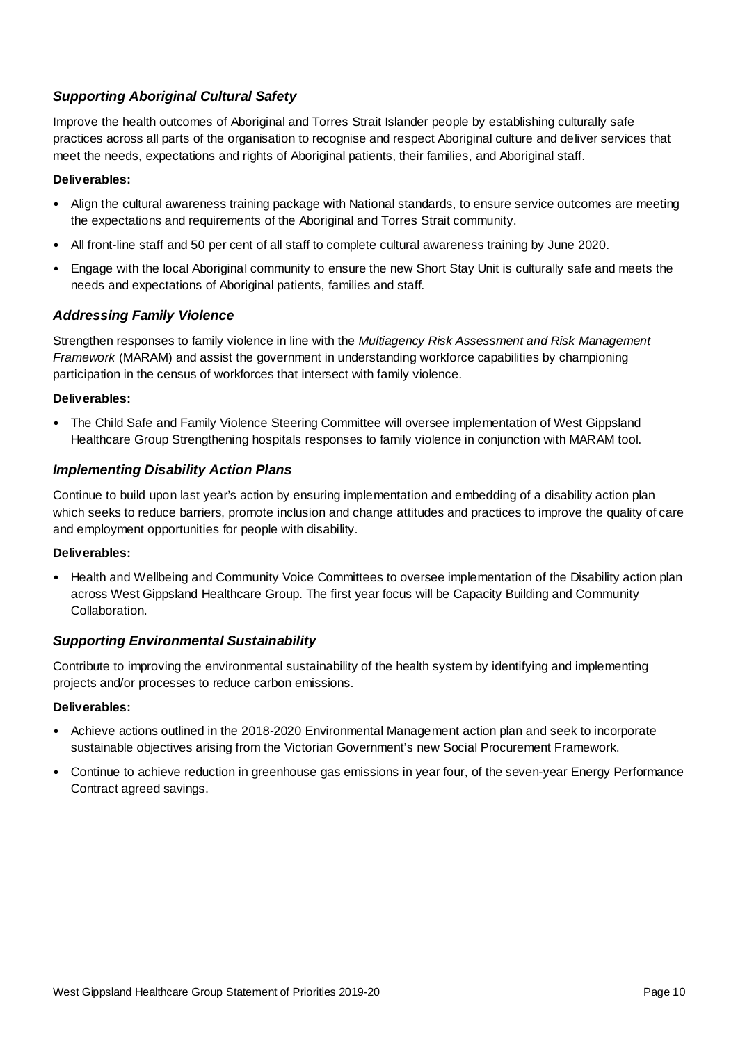#### *Supporting Aboriginal Cultural Safety*

Improve the health outcomes of Aboriginal and Torres Strait Islander people by establishing culturally safe practices across all parts of the organisation to recognise and respect Aboriginal culture and deliver services that meet the needs, expectations and rights of Aboriginal patients, their families, and Aboriginal staff.

#### **Deliverables:**

- Align the cultural awareness training package with National standards, to ensure service outcomes are meeting the expectations and requirements of the Aboriginal and Torres Strait community.
- All front-line staff and 50 per cent of all staff to complete cultural awareness training by June 2020.
- Engage with the local Aboriginal community to ensure the new Short Stay Unit is culturally safe and meets the needs and expectations of Aboriginal patients, families and staff.

#### *Addressing Family Violence*

Strengthen responses to family violence in line with the *Multiagency Risk Assessment and Risk Management Framework* (MARAM) and assist the government in understanding workforce capabilities by championing participation in the census of workforces that intersect with family violence.

#### **Deliverables:**

• The Child Safe and Family Violence Steering Committee will oversee implementation of West Gippsland Healthcare Group Strengthening hospitals responses to family violence in conjunction with MARAM tool.

#### *Implementing Disability Action Plans*

Continue to build upon last year's action by ensuring implementation and embedding of a disability action plan which seeks to reduce barriers, promote inclusion and change attitudes and practices to improve the quality of care and employment opportunities for people with disability.

#### **Deliverables:**

• Health and Wellbeing and Community Voice Committees to oversee implementation of the Disability action plan across West Gippsland Healthcare Group. The first year focus will be Capacity Building and Community Collaboration.

#### *Supporting Environmental Sustainability*

Contribute to improving the environmental sustainability of the health system by identifying and implementing projects and/or processes to reduce carbon emissions.

- Achieve actions outlined in the 2018-2020 Environmental Management action plan and seek to incorporate sustainable objectives arising from the Victorian Government's new Social Procurement Framework.
- Continue to achieve reduction in greenhouse gas emissions in year four, of the seven-year Energy Performance Contract agreed savings.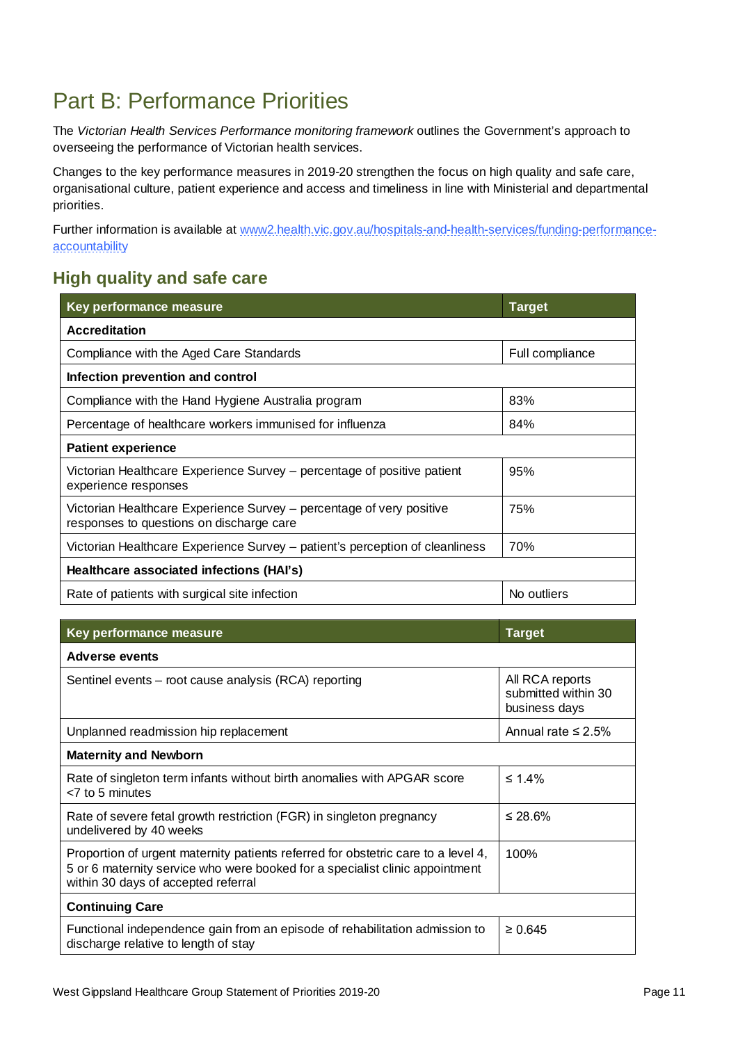## Part B: Performance Priorities

The *Victorian Health Services Performance monitoring framework* outlines the Government's approach to overseeing the performance of Victorian health services.

Changes to the key performance measures in 2019-20 strengthen the focus on high quality and safe care, organisational culture, patient experience and access and timeliness in line with Ministerial and departmental priorities.

Further information is available at www2.health.vic.gov.au/hospitals-and-health-services/funding-performanceaccountability

### **High quality and safe care**

| <b>Key performance measure</b>                                                                                   | <b>Target</b>   |  |
|------------------------------------------------------------------------------------------------------------------|-----------------|--|
| <b>Accreditation</b>                                                                                             |                 |  |
| Compliance with the Aged Care Standards                                                                          | Full compliance |  |
| Infection prevention and control                                                                                 |                 |  |
| Compliance with the Hand Hygiene Australia program                                                               | 83%             |  |
| Percentage of healthcare workers immunised for influenza                                                         | 84%             |  |
| <b>Patient experience</b>                                                                                        |                 |  |
| Victorian Healthcare Experience Survey - percentage of positive patient<br>experience responses                  | 95%             |  |
| Victorian Healthcare Experience Survey - percentage of very positive<br>responses to questions on discharge care | 75%             |  |
| Victorian Healthcare Experience Survey – patient's perception of cleanliness                                     | 70%             |  |
| Healthcare associated infections (HAI's)                                                                         |                 |  |
| Rate of patients with surgical site infection                                                                    | No outliers     |  |

| Key performance measure                                                                                                                                                                                  | <b>Target</b>                                           |  |
|----------------------------------------------------------------------------------------------------------------------------------------------------------------------------------------------------------|---------------------------------------------------------|--|
| Adverse events                                                                                                                                                                                           |                                                         |  |
| Sentinel events – root cause analysis (RCA) reporting                                                                                                                                                    | All RCA reports<br>submitted within 30<br>business days |  |
| Unplanned readmission hip replacement                                                                                                                                                                    | Annual rate $\leq$ 2.5%                                 |  |
| <b>Maternity and Newborn</b>                                                                                                                                                                             |                                                         |  |
| Rate of singleton term infants without birth anomalies with APGAR score<br>$<$ 7 to 5 minutes                                                                                                            | ≤ 1.4%                                                  |  |
| Rate of severe fetal growth restriction (FGR) in singleton pregnancy<br>undelivered by 40 weeks                                                                                                          | ≤ 28.6%                                                 |  |
| Proportion of urgent maternity patients referred for obstetric care to a level 4,<br>5 or 6 maternity service who were booked for a specialist clinic appointment<br>within 30 days of accepted referral | 100%                                                    |  |
| <b>Continuing Care</b>                                                                                                                                                                                   |                                                         |  |
| Functional independence gain from an episode of rehabilitation admission to<br>discharge relative to length of stay                                                                                      | $\geq 0.645$                                            |  |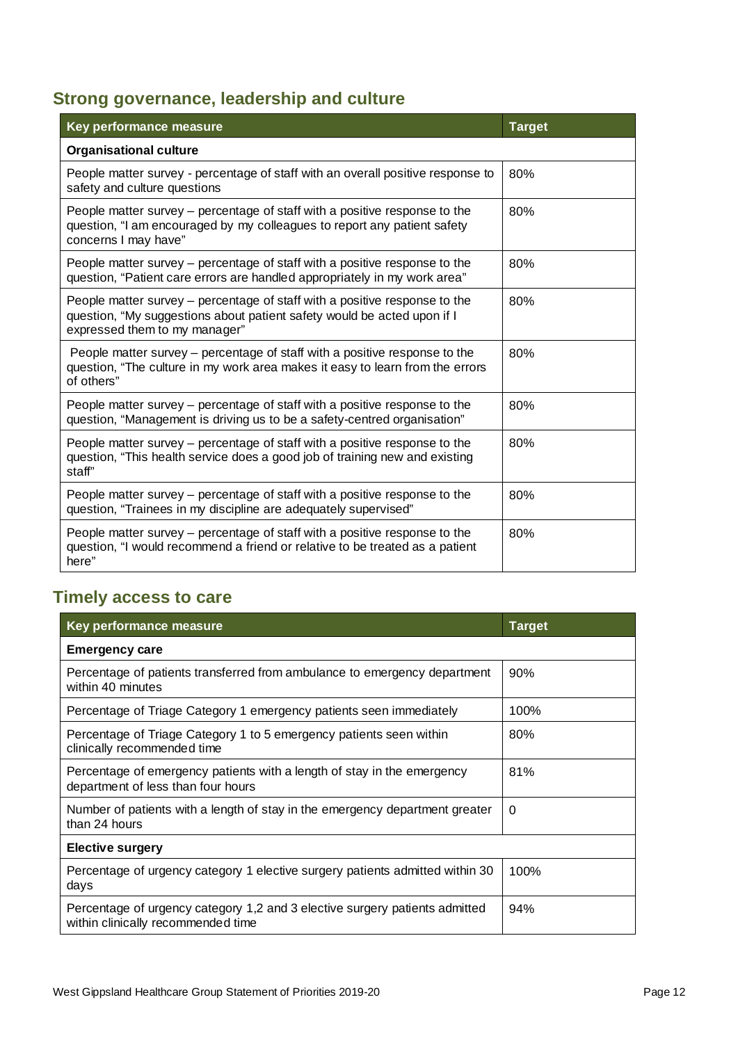## **Strong governance, leadership and culture**

| Key performance measure                                                                                                                                                                | <b>Target</b> |
|----------------------------------------------------------------------------------------------------------------------------------------------------------------------------------------|---------------|
| <b>Organisational culture</b>                                                                                                                                                          |               |
| People matter survey - percentage of staff with an overall positive response to<br>safety and culture questions                                                                        | 80%           |
| People matter survey – percentage of staff with a positive response to the<br>question, "I am encouraged by my colleagues to report any patient safety<br>concerns I may have"         | 80%           |
| People matter survey – percentage of staff with a positive response to the<br>question, "Patient care errors are handled appropriately in my work area"                                | 80%           |
| People matter survey – percentage of staff with a positive response to the<br>question, "My suggestions about patient safety would be acted upon if I<br>expressed them to my manager" | 80%           |
| People matter survey – percentage of staff with a positive response to the<br>question, "The culture in my work area makes it easy to learn from the errors<br>of others"              | 80%           |
| People matter survey – percentage of staff with a positive response to the<br>question, "Management is driving us to be a safety-centred organisation"                                 | 80%           |
| People matter survey - percentage of staff with a positive response to the<br>question, "This health service does a good job of training new and existing<br>staff"                    | 80%           |
| People matter survey - percentage of staff with a positive response to the<br>question, "Trainees in my discipline are adequately supervised"                                          | 80%           |
| People matter survey – percentage of staff with a positive response to the<br>question, "I would recommend a friend or relative to be treated as a patient<br>here"                    | 80%           |

## **Timely access to care**

| Key performance measure                                                                                           | <b>Target</b> |
|-------------------------------------------------------------------------------------------------------------------|---------------|
| <b>Emergency care</b>                                                                                             |               |
| Percentage of patients transferred from ambulance to emergency department<br>within 40 minutes                    | 90%           |
| Percentage of Triage Category 1 emergency patients seen immediately                                               | 100%          |
| Percentage of Triage Category 1 to 5 emergency patients seen within<br>clinically recommended time                | 80%           |
| Percentage of emergency patients with a length of stay in the emergency<br>department of less than four hours     | 81%           |
| Number of patients with a length of stay in the emergency department greater<br>than 24 hours                     | $\Omega$      |
| <b>Elective surgery</b>                                                                                           |               |
| Percentage of urgency category 1 elective surgery patients admitted within 30<br>days                             | 100%          |
| Percentage of urgency category 1,2 and 3 elective surgery patients admitted<br>within clinically recommended time | 94%           |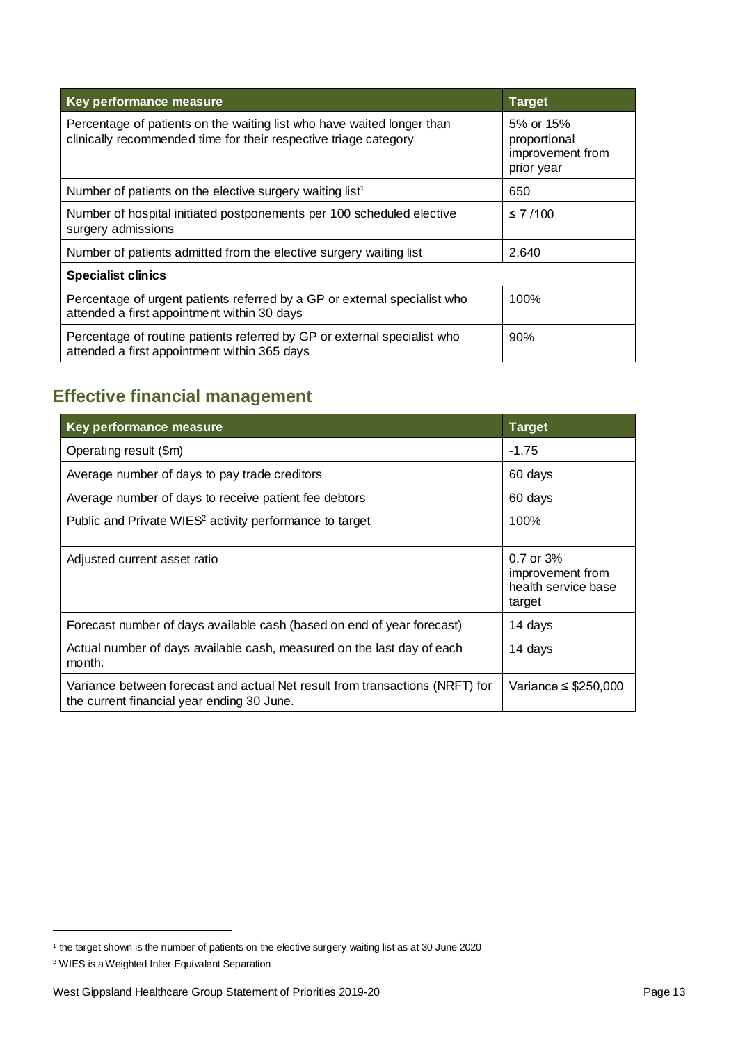| Key performance measure                                                                                                                    | <b>Target</b>                                               |
|--------------------------------------------------------------------------------------------------------------------------------------------|-------------------------------------------------------------|
| Percentage of patients on the waiting list who have waited longer than<br>clinically recommended time for their respective triage category | 5% or 15%<br>proportional<br>improvement from<br>prior year |
| Number of patients on the elective surgery waiting list <sup>1</sup>                                                                       | 650                                                         |
| Number of hospital initiated postponements per 100 scheduled elective<br>surgery admissions                                                | $\leq 7/100$                                                |
| Number of patients admitted from the elective surgery waiting list                                                                         | 2,640                                                       |
| <b>Specialist clinics</b>                                                                                                                  |                                                             |
| Percentage of urgent patients referred by a GP or external specialist who<br>attended a first appointment within 30 days                   | 100%                                                        |
| Percentage of routine patients referred by GP or external specialist who<br>attended a first appointment within 365 days                   | 90%                                                         |

### **Effective financial management**

| Key performance measure                                                                                                    | <b>Target</b>                                                      |
|----------------------------------------------------------------------------------------------------------------------------|--------------------------------------------------------------------|
| Operating result (\$m)                                                                                                     | $-1.75$                                                            |
| Average number of days to pay trade creditors                                                                              | 60 days                                                            |
| Average number of days to receive patient fee debtors                                                                      | 60 days                                                            |
| Public and Private WIES <sup>2</sup> activity performance to target                                                        | 100%                                                               |
| Adjusted current asset ratio                                                                                               | $0.7$ or $3%$<br>improvement from<br>health service base<br>target |
| Forecast number of days available cash (based on end of year forecast)                                                     | 14 days                                                            |
| Actual number of days available cash, measured on the last day of each<br>month.                                           | 14 days                                                            |
| Variance between forecast and actual Net result from transactions (NRFT) for<br>the current financial year ending 30 June. | Variance $\leq$ \$250,000                                          |

<sup>&</sup>lt;sup>1</sup> the target shown is the number of patients on the elective surgery waiting list as at 30 June 2020

<sup>2</sup> WIES is a Weighted Inlier Equivalent Separation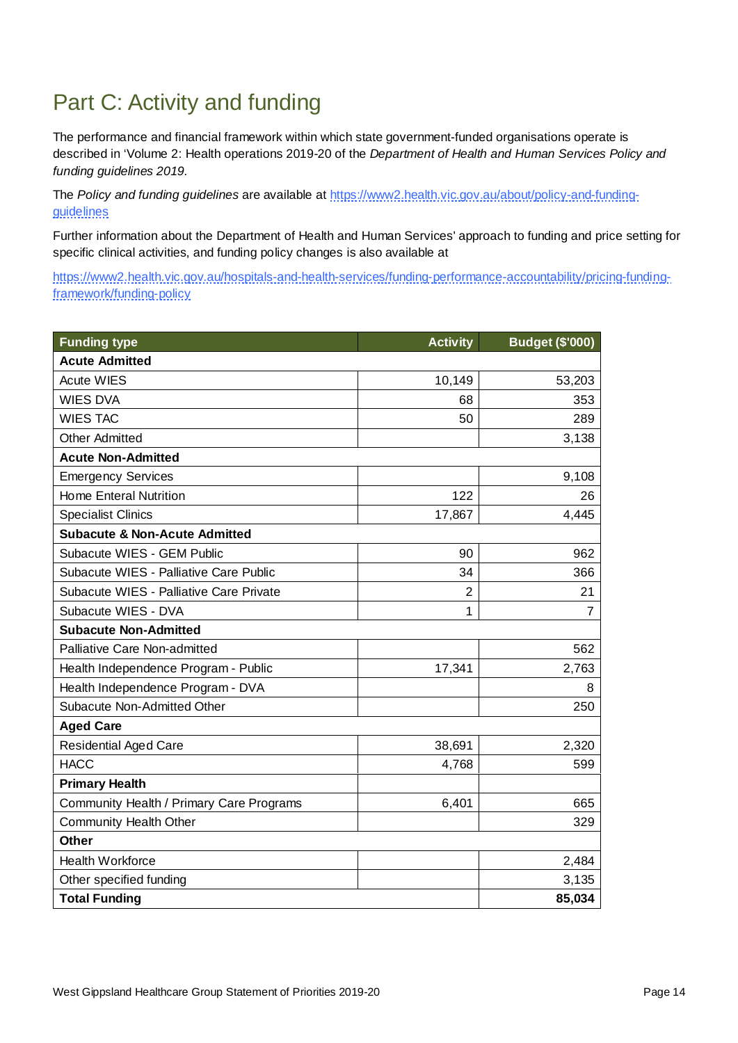## Part C: Activity and funding

The performance and financial framework within which state government-funded organisations operate is described in 'Volume 2: Health operations 2019-20 of the *Department of Health and Human Services Policy and funding guidelines 2019.* 

The *Policy and funding guidelines* are available at https://www2.health.vic.gov.au/about/policy-and-fundingguidelines

Further information about the Department of Health and Human Services' approach to funding and price setting for specific clinical activities, and funding policy changes is also available at

https://www2.health.vic.gov.au/hospitals-and-health-services/funding-performance-accountability/pricing-fundingframework/funding-policy

| <b>Funding type</b>                      | <b>Activity</b> | <b>Budget (\$'000)</b> |  |
|------------------------------------------|-----------------|------------------------|--|
| <b>Acute Admitted</b>                    |                 |                        |  |
| <b>Acute WIES</b>                        | 10,149          | 53,203                 |  |
| <b>WIES DVA</b>                          | 68              | 353                    |  |
| <b>WIES TAC</b>                          | 50              | 289                    |  |
| <b>Other Admitted</b>                    |                 | 3,138                  |  |
| <b>Acute Non-Admitted</b>                |                 |                        |  |
| <b>Emergency Services</b>                |                 | 9,108                  |  |
| <b>Home Enteral Nutrition</b>            | 122             | 26                     |  |
| <b>Specialist Clinics</b>                | 17,867          | 4,445                  |  |
| <b>Subacute &amp; Non-Acute Admitted</b> |                 |                        |  |
| Subacute WIES - GEM Public               | 90              | 962                    |  |
| Subacute WIES - Palliative Care Public   | 34              | 366                    |  |
| Subacute WIES - Palliative Care Private  | $\overline{2}$  | 21                     |  |
| Subacute WIES - DVA                      | 1               | 7                      |  |
| <b>Subacute Non-Admitted</b>             |                 |                        |  |
| Palliative Care Non-admitted             |                 | 562                    |  |
| Health Independence Program - Public     | 17,341          | 2,763                  |  |
| Health Independence Program - DVA        |                 | 8                      |  |
| Subacute Non-Admitted Other              |                 | 250                    |  |
| <b>Aged Care</b>                         |                 |                        |  |
| <b>Residential Aged Care</b>             | 38,691          | 2,320                  |  |
| <b>HACC</b>                              | 4,768           | 599                    |  |
| <b>Primary Health</b>                    |                 |                        |  |
| Community Health / Primary Care Programs | 6,401           | 665                    |  |
| <b>Community Health Other</b>            |                 | 329                    |  |
| <b>Other</b>                             |                 |                        |  |
| <b>Health Workforce</b>                  |                 | 2,484                  |  |
| Other specified funding                  |                 | 3,135                  |  |
| <b>Total Funding</b>                     |                 | 85,034                 |  |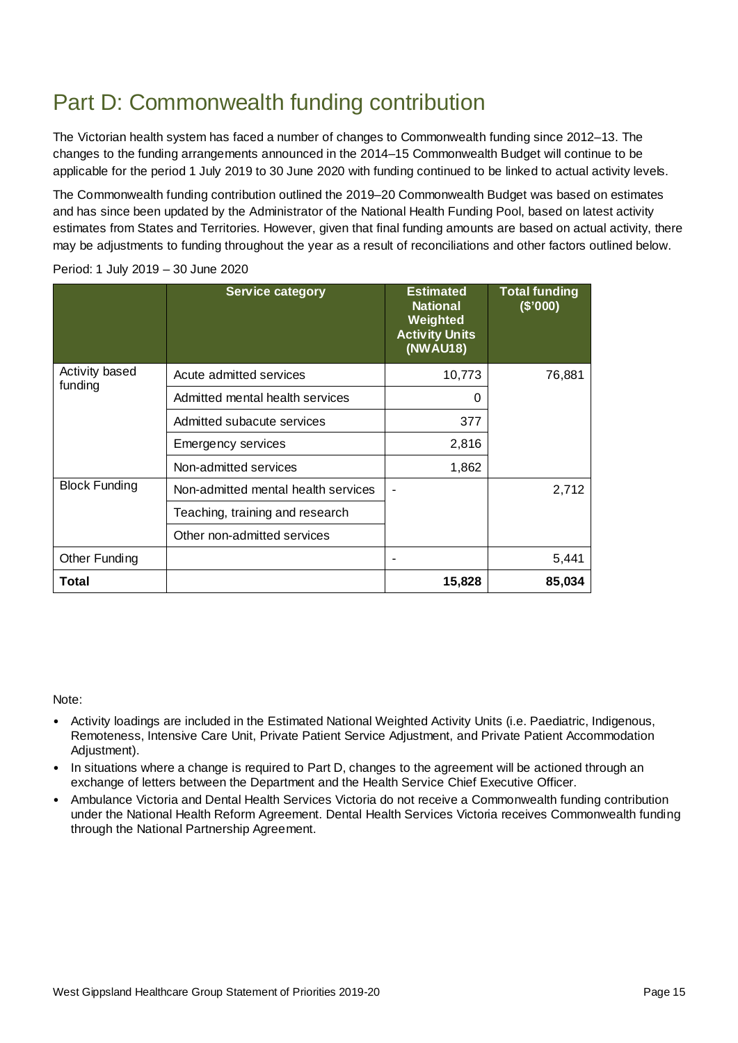## Part D: Commonwealth funding contribution

The Victorian health system has faced a number of changes to Commonwealth funding since 2012–13. The changes to the funding arrangements announced in the 2014–15 Commonwealth Budget will continue to be applicable for the period 1 July 2019 to 30 June 2020 with funding continued to be linked to actual activity levels.

The Commonwealth funding contribution outlined the 2019–20 Commonwealth Budget was based on estimates and has since been updated by the Administrator of the National Health Funding Pool, based on latest activity estimates from States and Territories. However, given that final funding amounts are based on actual activity, there may be adjustments to funding throughout the year as a result of reconciliations and other factors outlined below.

|                           | <b>Service category</b>             | <b>Estimated</b><br><b>National</b><br>Weighted<br><b>Activity Units</b><br>(NWAU18) | <b>Total funding</b><br>(\$'000) |
|---------------------------|-------------------------------------|--------------------------------------------------------------------------------------|----------------------------------|
| Activity based<br>funding | Acute admitted services             | 10,773                                                                               | 76,881                           |
|                           | Admitted mental health services     | 0                                                                                    |                                  |
|                           | Admitted subacute services          | 377                                                                                  |                                  |
|                           | Emergency services                  | 2,816                                                                                |                                  |
|                           | Non-admitted services               | 1,862                                                                                |                                  |
| <b>Block Funding</b>      | Non-admitted mental health services |                                                                                      | 2,712                            |
|                           | Teaching, training and research     |                                                                                      |                                  |
|                           | Other non-admitted services         |                                                                                      |                                  |
| <b>Other Funding</b>      |                                     |                                                                                      | 5,441                            |
| Total                     |                                     | 15,828                                                                               | 85,034                           |

Period: 1 July 2019 – 30 June 2020

Note:

- Activity loadings are included in the Estimated National Weighted Activity Units (i.e. Paediatric, Indigenous, Remoteness, Intensive Care Unit, Private Patient Service Adjustment, and Private Patient Accommodation Adjustment).
- In situations where a change is required to Part D, changes to the agreement will be actioned through an exchange of letters between the Department and the Health Service Chief Executive Officer.
- Ambulance Victoria and Dental Health Services Victoria do not receive a Commonwealth funding contribution under the National Health Reform Agreement. Dental Health Services Victoria receives Commonwealth funding through the National Partnership Agreement.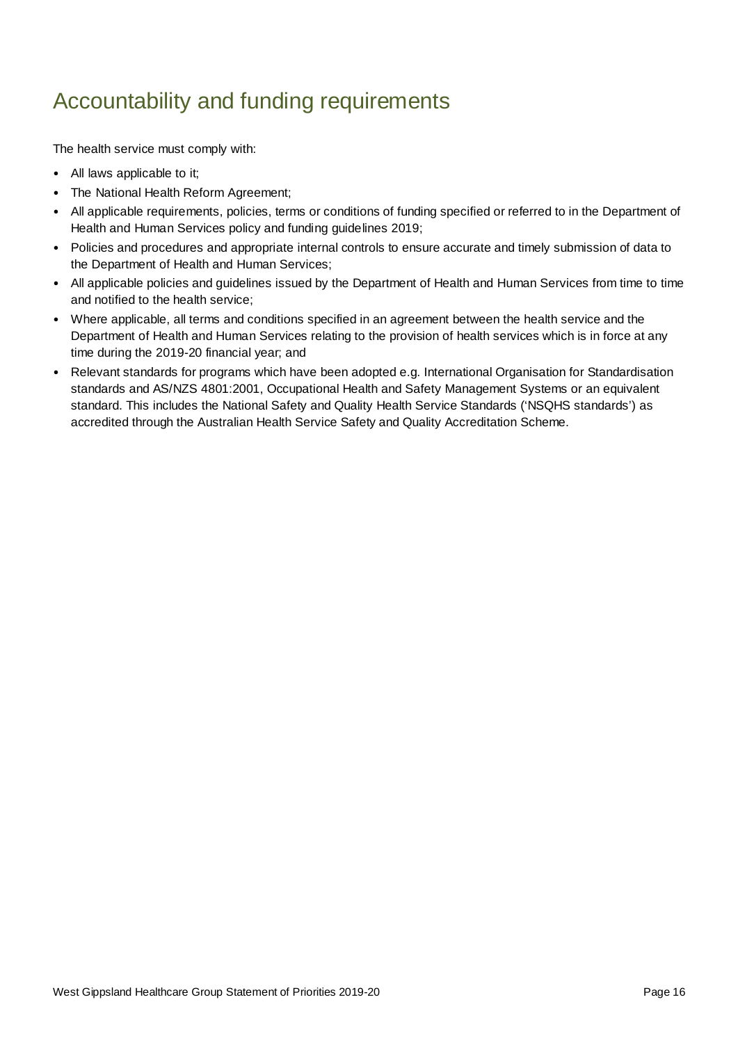## Accountability and funding requirements

The health service must comply with:

- All laws applicable to it;
- The National Health Reform Agreement;
- All applicable requirements, policies, terms or conditions of funding specified or referred to in the Department of Health and Human Services policy and funding guidelines 2019;
- Policies and procedures and appropriate internal controls to ensure accurate and timely submission of data to the Department of Health and Human Services;
- All applicable policies and guidelines issued by the Department of Health and Human Services from time to time and notified to the health service;
- Where applicable, all terms and conditions specified in an agreement between the health service and the Department of Health and Human Services relating to the provision of health services which is in force at any time during the 2019-20 financial year; and
- Relevant standards for programs which have been adopted e.g. International Organisation for Standardisation standards and AS/NZS 4801:2001, Occupational Health and Safety Management Systems or an equivalent standard. This includes the National Safety and Quality Health Service Standards ('NSQHS standards') as accredited through the Australian Health Service Safety and Quality Accreditation Scheme.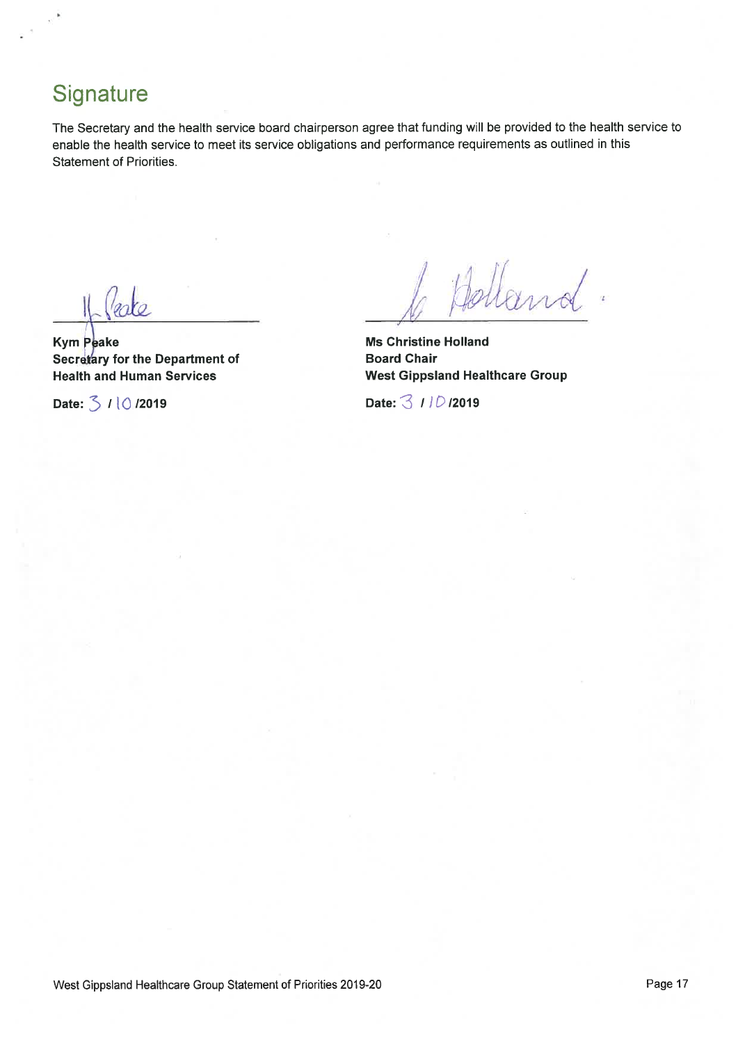## Signature

The Secretary and the health service board chairperson agree that funding will be provided to the health service to enable the health service to meet its service obligations and performance requirements as outlined in this **Statement of Priorities.** 

Veole

**Kym Peake** Secretary for the Department of **Health and Human Services** 

Date: 3 / 10/2019

dland.

**Ms Christine Holland Board Chair West Gippsland Healthcare Group** 

Date: 3 110 /2019